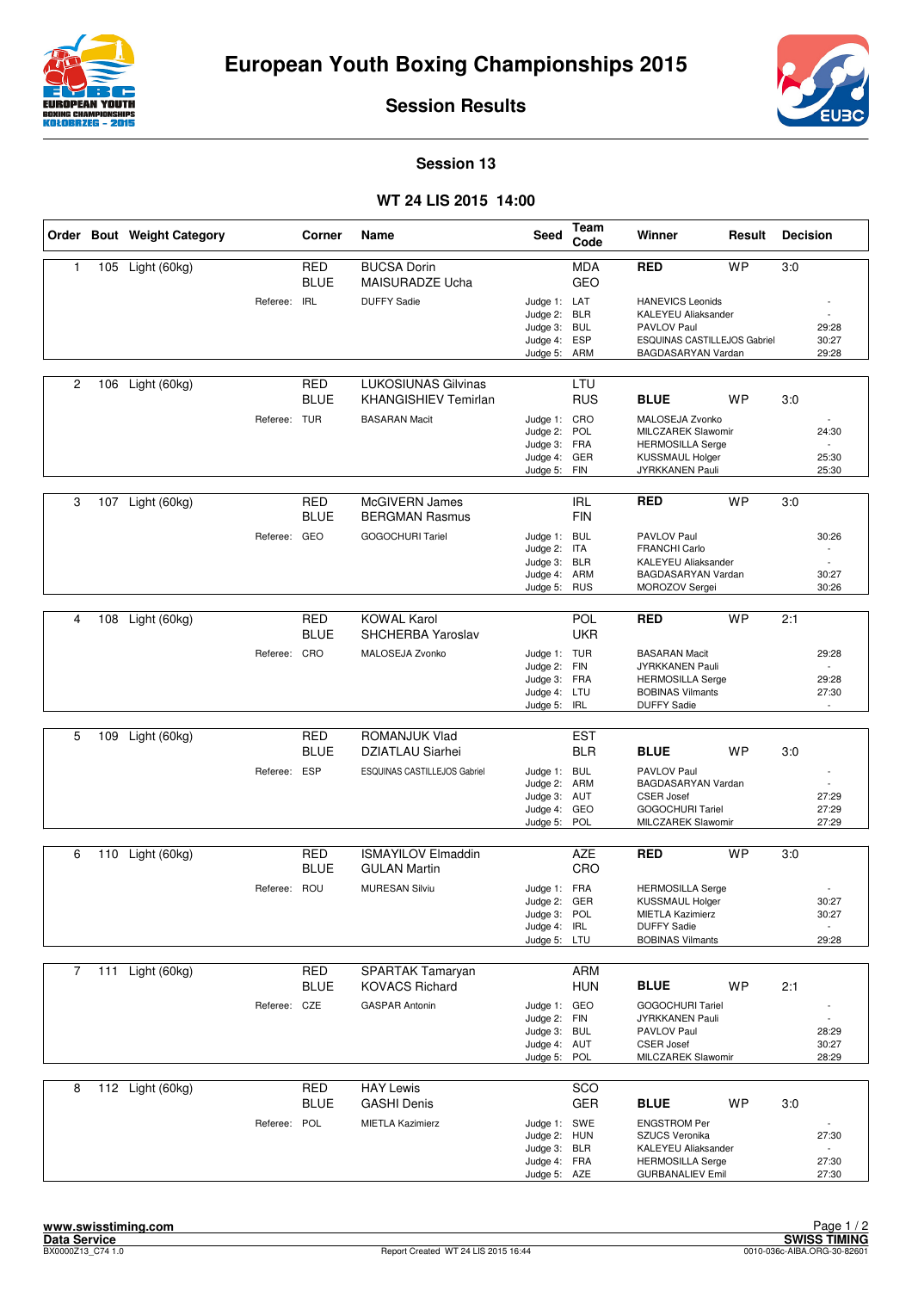



**Session Results**

**Session 13**

## **WT 24 LIS 2015 14:00**

|                |     | Order Bout Weight Category |              | Corner                    | Name                                                      | Seed                         | Team<br>Code             | Winner                                             | Result    | <b>Decision</b> |                                   |
|----------------|-----|----------------------------|--------------|---------------------------|-----------------------------------------------------------|------------------------------|--------------------------|----------------------------------------------------|-----------|-----------------|-----------------------------------|
| 1              | 105 | Light (60kg)               |              | <b>RED</b><br><b>BLUE</b> | <b>BUCSA Dorin</b><br>MAISURADZE Ucha                     |                              | <b>MDA</b><br><b>GEO</b> | <b>RED</b>                                         | <b>WP</b> | 3:0             |                                   |
|                |     |                            | Referee: IRL |                           | <b>DUFFY Sadie</b>                                        | Judge 1: LAT                 |                          | <b>HANEVICS Leonids</b>                            |           |                 |                                   |
|                |     |                            |              |                           |                                                           | Judge 2:<br>Judge 3: BUL     | <b>BLR</b>               | KALEYEU Aliaksander<br>PAVLOV Paul                 |           |                 | 29:28                             |
|                |     |                            |              |                           |                                                           | Judge 4: ESP                 |                          | ESQUINAS CASTILLEJOS Gabriel                       |           |                 | 30:27                             |
|                |     |                            |              |                           |                                                           | Judge 5: ARM                 |                          | BAGDASARYAN Vardan                                 |           |                 | 29:28                             |
| 2              | 106 | Light (60kg)               |              | <b>RED</b><br><b>BLUE</b> | <b>LUKOSIUNAS Gilvinas</b><br><b>KHANGISHIEV Temirlan</b> |                              | LTU<br><b>RUS</b>        | <b>BLUE</b>                                        | <b>WP</b> | 3:0             |                                   |
|                |     |                            | Referee: TUR |                           | <b>BASARAN Macit</b>                                      | Judge 1: CRO                 |                          | MALOSEJA Zvonko                                    |           |                 |                                   |
|                |     |                            |              |                           |                                                           | Judge 2:<br>Judge 3: FRA     | POL                      | MILCZAREK Slawomir<br><b>HERMOSILLA Serge</b>      |           |                 | 24:30<br>$\overline{a}$           |
|                |     |                            |              |                           |                                                           | Judge 4:                     | GER                      | <b>KUSSMAUL Holger</b>                             |           |                 | 25:30                             |
|                |     |                            |              |                           |                                                           | Judge 5:                     | FIN                      | JYRKKANEN Pauli                                    |           |                 | 25:30                             |
| 3              | 107 | Light (60kg)               |              | <b>RED</b><br><b>BLUE</b> | McGIVERN James<br><b>BERGMAN Rasmus</b>                   |                              | <b>IRL</b><br><b>FIN</b> | <b>RED</b>                                         | <b>WP</b> | 3:0             |                                   |
|                |     |                            | Referee: GEO |                           | <b>GOGOCHURI Tariel</b>                                   | Judge 1: BUL                 |                          | PAVLOV Paul                                        |           |                 | 30:26                             |
|                |     |                            |              |                           |                                                           | Judge 2: ITA<br>Judge 3:     | <b>BLR</b>               | <b>FRANCHI Carlo</b><br><b>KALEYEU Aliaksander</b> |           |                 |                                   |
|                |     |                            |              |                           |                                                           | Judge 4: ARM                 |                          | BAGDASARYAN Vardan                                 |           |                 | 30:27                             |
|                |     |                            |              |                           |                                                           | Judge 5:                     | <b>RUS</b>               | MOROZOV Sergei                                     |           |                 | 30:26                             |
| 4              |     | 108 Light (60kg)           |              | <b>RED</b>                | <b>KOWAL Karol</b>                                        |                              | POL                      | <b>RED</b>                                         | <b>WP</b> | 2:1             |                                   |
|                |     |                            |              | <b>BLUE</b>               | SHCHERBA Yaroslav                                         |                              | <b>UKR</b>               |                                                    |           |                 |                                   |
|                |     |                            | Referee: CRO |                           | MALOSEJA Zvonko                                           | Judge 1: TUR                 |                          | <b>BASARAN Macit</b>                               |           |                 | 29:28                             |
|                |     |                            |              |                           |                                                           | Judge 2: FIN<br>Judge 3: FRA |                          | JYRKKANEN Pauli<br><b>HERMOSILLA Serge</b>         |           |                 | 29:28                             |
|                |     |                            |              |                           |                                                           | Judge 4: LTU                 |                          | <b>BOBINAS Vilmants</b>                            |           |                 | 27:30                             |
|                |     |                            |              |                           |                                                           | Judge 5:                     | <b>IRL</b>               | <b>DUFFY Sadie</b>                                 |           |                 |                                   |
| 5              | 109 | Light (60kg)               |              | <b>RED</b><br><b>BLUE</b> | ROMANJUK Vlad<br>DZIATLAU Siarhei                         |                              | <b>EST</b><br><b>BLR</b> | <b>BLUE</b>                                        | <b>WP</b> | 3:0             |                                   |
|                |     |                            | Referee: ESP |                           | ESQUINAS CASTILLEJOS Gabriel                              | Judge 1: BUL                 |                          | PAVLOV Paul                                        |           |                 |                                   |
|                |     |                            |              |                           |                                                           | Judge 2:<br>Judge 3: AUT     | <b>ARM</b>               | BAGDASARYAN Vardan<br><b>CSER Josef</b>            |           |                 | $\overline{a}$<br>27:29           |
|                |     |                            |              |                           |                                                           | Judge 4: GEO                 |                          | <b>GOGOCHURI Tariel</b>                            |           |                 | 27:29                             |
|                |     |                            |              |                           |                                                           | Judge 5:                     | POL                      | MILCZAREK Slawomir                                 |           |                 | 27:29                             |
| 6              |     | 110 Light (60kg)           |              | <b>RED</b>                | <b>ISMAYILOV Elmaddin</b>                                 |                              | <b>AZE</b>               | <b>RED</b>                                         | <b>WP</b> | 3:0             |                                   |
|                |     |                            |              | <b>BLUE</b>               | <b>GULAN Martin</b>                                       |                              | CRO                      |                                                    |           |                 |                                   |
|                |     |                            | Referee: ROU |                           | <b>MURESAN Silviu</b>                                     | Judge 1: FRA                 |                          | <b>HERMOSILLA Serge</b>                            |           |                 |                                   |
|                |     |                            |              |                           |                                                           | Judge 2: GER<br>Judge 3: POL |                          | <b>KUSSMAUL Holger</b><br><b>MIETLA Kazimierz</b>  |           |                 | 30:27<br>30:27                    |
|                |     |                            |              |                           |                                                           | Judge 4: IRL                 |                          | <b>DUFFY Sadie</b><br><b>BOBINAS Vilmants</b>      |           |                 | 29:28                             |
|                |     |                            |              |                           |                                                           | Judge 5: LTU                 |                          |                                                    |           |                 |                                   |
| $\overline{7}$ |     | 111 Light (60kg)           |              | <b>RED</b>                | SPARTAK Tamaryan                                          |                              | <b>ARM</b>               |                                                    |           |                 |                                   |
|                |     |                            |              | BLUE                      | <b>KOVACS Richard</b>                                     |                              | <b>HUN</b>               | <b>BLUE</b>                                        | WP        | 2:1             |                                   |
|                |     |                            | Referee: CZE |                           | <b>GASPAR Antonin</b>                                     | Judge 1: GEO<br>Judge 2: FIN |                          | <b>GOGOCHURI Tariel</b><br>JYRKKANEN Pauli         |           |                 |                                   |
|                |     |                            |              |                           |                                                           | Judge 3: BUL                 |                          | PAVLOV Paul                                        |           |                 | 28:29                             |
|                |     |                            |              |                           |                                                           | Judge 4: AUT<br>Judge 5:     | POL                      | <b>CSER Josef</b><br>MILCZAREK Slawomir            |           |                 | 30:27<br>28:29                    |
|                |     |                            |              |                           |                                                           |                              |                          |                                                    |           |                 |                                   |
| 8              |     | 112 Light (60kg)           |              | RED<br><b>BLUE</b>        | <b>HAY Lewis</b><br><b>GASHI Denis</b>                    |                              | SCO<br><b>GER</b>        | <b>BLUE</b>                                        | WP        | 3:0             |                                   |
|                |     |                            | Referee: POL |                           | <b>MIETLA Kazimierz</b>                                   | Judge 1: SWE                 |                          | <b>ENGSTROM Per</b>                                |           |                 |                                   |
|                |     |                            |              |                           |                                                           | Judge 2: HUN                 |                          | SZUCS Veronika                                     |           |                 | 27:30                             |
|                |     |                            |              |                           |                                                           | Judge 3: BLR<br>Judge 4: FRA |                          | KALEYEU Aliaksander<br><b>HERMOSILLA Serge</b>     |           |                 | $\overline{\phantom{a}}$<br>27:30 |
|                |     |                            |              |                           |                                                           | Judge 5: AZE                 |                          | <b>GURBANALIEV Emil</b>                            |           |                 | 27:30                             |